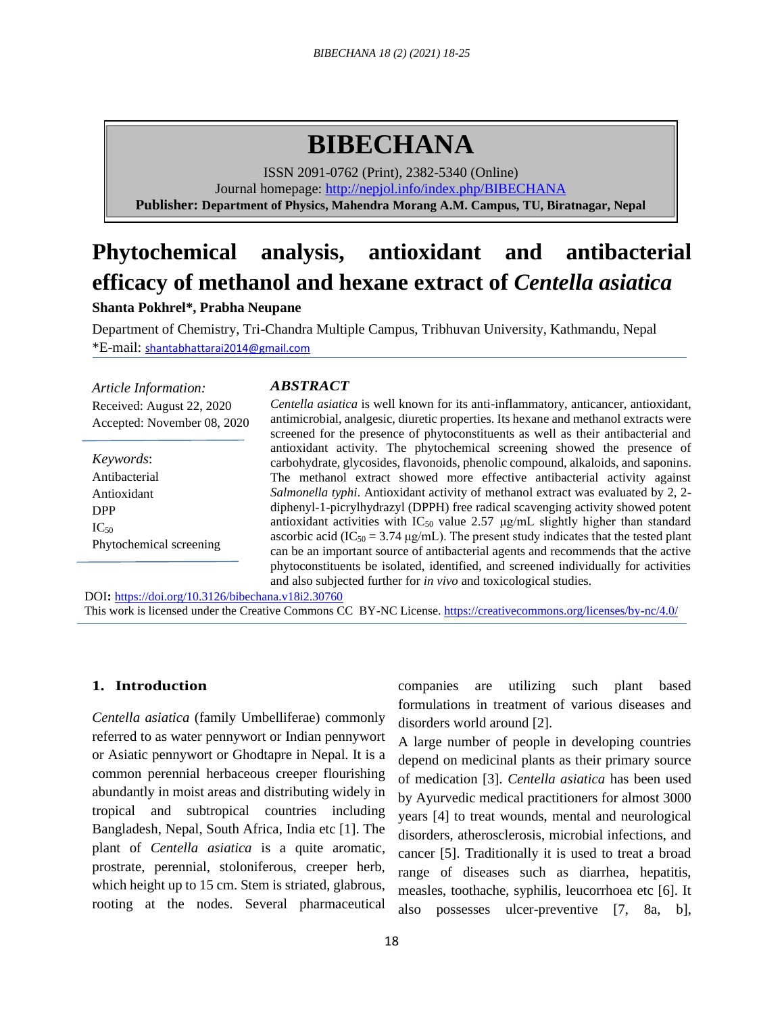# **BIBECHANA**

ISSN 2091-0762 (Print), 2382-5340 (Online) Journal homepage:<http://nepjol.info/index.php/BIBECHANA> **Publisher: Department of Physics, Mahendra Morang A.M. Campus, TU, Biratnagar, Nepal**

# **Phytochemical analysis, antioxidant and antibacterial efficacy of methanol and hexane extract of** *Centella asiatica*

**Shanta Pokhrel\*, Prabha Neupane**

Department of Chemistry, Tri-Chandra Multiple Campus, Tribhuvan University, Kathmandu, Nepal \*E-mail: shantabhattarai2014@gmail.com

*Article Information:* Received: August 22, 2020 Accepted: November 08, 2020

*Keywords*: Antibacterial Antioxidant DPP  $IC_{50}$ Phytochemical screening

# *ABSTRACT*

*Centella asiatica* is well known for its anti-inflammatory, anticancer, antioxidant, antimicrobial, analgesic, diuretic properties. Its hexane and methanol extracts were screened for the presence of phytoconstituents as well as their antibacterial and antioxidant activity. The phytochemical screening showed the presence of carbohydrate, glycosides, flavonoids, phenolic compound, alkaloids, and saponins. The methanol extract showed more effective antibacterial activity against *Salmonella typhi*. Antioxidant activity of methanol extract was evaluated by 2, 2 diphenyl-1-picrylhydrazyl (DPPH) free radical scavenging activity showed potent antioxidant activities with  $IC_{50}$  value 2.57  $\mu$ g/mL slightly higher than standard ascorbic acid (IC<sub>50</sub> = 3.74  $\mu$ g/mL). The present study indicates that the tested plant can be an important source of antibacterial agents and recommends that the active phytoconstituents be isolated, identified, and screened individually for activities and also subjected further for *in vivo* and toxicological studies.

DOI**:** <https://doi.org/10.3126/bibechana.v18i2.30760> This work is licensed under the Creative Commons CC BY-NC License.<https://creativecommons.org/licenses/by-nc/4.0/>

# **1. Introduction**

*Centella asiatica* (family Umbelliferae) commonly referred to as water pennywort or Indian pennywort or Asiatic pennywort or Ghodtapre in Nepal. It is a common perennial herbaceous creeper flourishing abundantly in moist areas and distributing widely in tropical and subtropical countries including Bangladesh, Nepal, South Africa, India etc [1]. The plant of *Centella asiatica* is a quite aromatic, prostrate, perennial, stoloniferous, creeper herb, which height up to 15 cm. Stem is striated, glabrous, rooting at the nodes. Several pharmaceutical companies are utilizing such plant based formulations in treatment of various diseases and disorders world around [2].

A large number of people in developing countries depend on medicinal plants as their primary source of medication [3]. *Centella asiatica* has been used by Ayurvedic medical practitioners for almost 3000 years [4] to treat wounds, mental and neurological disorders, atherosclerosis, microbial infections, and cancer [5]. Traditionally it is used to treat a broad range of diseases such as diarrhea, hepatitis, measles, toothache, syphilis, leucorrhoea etc [6]. It also possesses ulcer-preventive [7, 8a, b],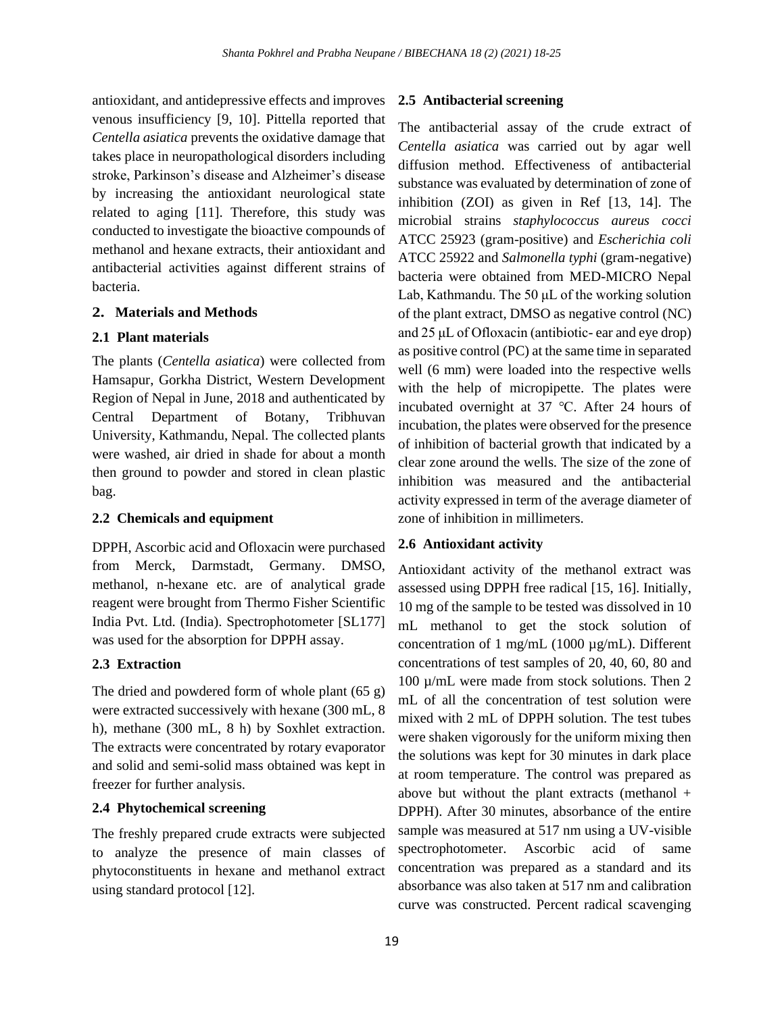antioxidant, and antidepressive effects and improves venous insufficiency [9, 10]. Pittella reported that *Centella asiatica* prevents the oxidative damage that takes place in neuropathological disorders including stroke, Parkinson's disease and Alzheimer's disease by increasing the antioxidant neurological state related to aging [11]. Therefore, this study was conducted to investigate the bioactive compounds of methanol and hexane extracts, their antioxidant and antibacterial activities against different strains of bacteria.

#### **2. Materials and Methods**

### **2.1 Plant materials**

The plants (*Centella asiatica*) were collected from Hamsapur, Gorkha District, Western Development Region of Nepal in June, 2018 and authenticated by Central Department of Botany, Tribhuvan University, Kathmandu, Nepal. The collected plants were washed, air dried in shade for about a month then ground to powder and stored in clean plastic bag.

#### **2.2 Chemicals and equipment**

DPPH, Ascorbic acid and Ofloxacin were purchased from Merck, Darmstadt, Germany. DMSO, methanol, n-hexane etc. are of analytical grade reagent were brought from Thermo Fisher Scientific India Pvt. Ltd. (India). Spectrophotometer [SL177] was used for the absorption for DPPH assay.

#### **2.3 Extraction**

The dried and powdered form of whole plant (65 g) were extracted successively with hexane (300 mL, 8 h), methane (300 mL, 8 h) by Soxhlet extraction. The extracts were concentrated by rotary evaporator and solid and semi-solid mass obtained was kept in freezer for further analysis.

### **2.4 Phytochemical screening**

The freshly prepared crude extracts were subjected to analyze the presence of main classes of phytoconstituents in hexane and methanol extract using standard protocol [12].

#### **2.5 Antibacterial screening**

The antibacterial assay of the crude extract of *Centella asiatica* was carried out by agar well diffusion method. Effectiveness of antibacterial substance was evaluated by determination of zone of inhibition (ZOI) as given in Ref [13, 14]. The microbial strains *staphylococcus aureus cocci* ATCC 25923 (gram-positive) and *Escherichia coli* ATCC 25922 and *Salmonella typhi* (gram-negative) bacteria were obtained from MED-MICRO Nepal Lab, Kathmandu. The 50 μL of the working solution of the plant extract, DMSO as negative control (NC) and 25 μL of Ofloxacin (antibiotic- ear and eye drop) as positive control (PC) at the same time in separated well (6 mm) were loaded into the respective wells with the help of micropipette. The plates were incubated overnight at 37 ℃. After 24 hours of incubation, the plates were observed for the presence of inhibition of bacterial growth that indicated by a clear zone around the wells. The size of the zone of inhibition was measured and the antibacterial activity expressed in term of the average diameter of zone of inhibition in millimeters.

#### **2.6 Antioxidant activity**

Antioxidant activity of the methanol extract was assessed using DPPH free radical [15, 16]. Initially, 10 mg of the sample to be tested was dissolved in 10 mL methanol to get the stock solution of concentration of 1 mg/mL (1000 µg/mL). Different concentrations of test samples of 20, 40, 60, 80 and 100 µ/mL were made from stock solutions. Then 2 mL of all the concentration of test solution were mixed with 2 mL of DPPH solution. The test tubes were shaken vigorously for the uniform mixing then the solutions was kept for 30 minutes in dark place at room temperature. The control was prepared as above but without the plant extracts (methanol  $+$ DPPH). After 30 minutes, absorbance of the entire sample was measured at 517 nm using a UV-visible spectrophotometer. Ascorbic acid of same concentration was prepared as a standard and its absorbance was also taken at 517 nm and calibration curve was constructed. Percent radical scavenging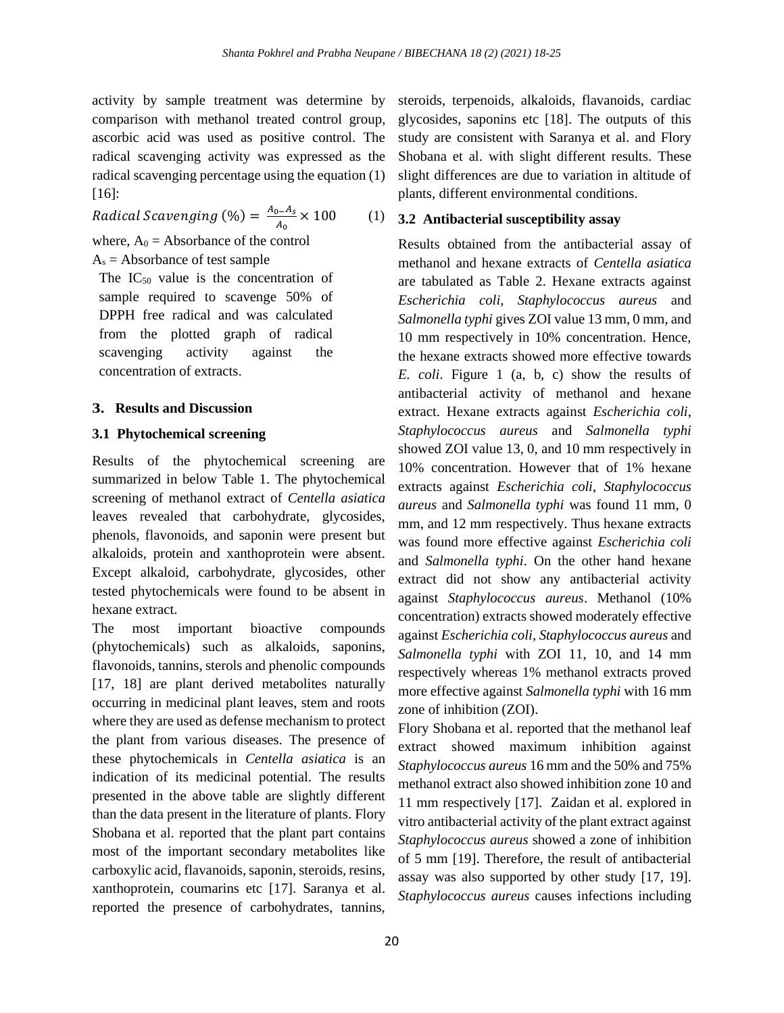activity by sample treatment was determine by comparison with methanol treated control group, ascorbic acid was used as positive control. The radical scavenging activity was expressed as the radical scavenging percentage using the equation (1) [16]:

Radical Scavenging (%) =  $\frac{A_0 - A_S}{4} \times 100$  (1)  $A_0$ 

$$
a^2 + b^2 = 0
$$

where, 
$$
A_0
$$
 = Absorbance of the control

# $A_s$  = Absorbance of test sample

The  $IC_{50}$  value is the concentration of sample required to scavenge 50% of DPPH free radical and was calculated from the plotted graph of radical scavenging activity against the concentration of extracts.

# **3. Results and Discussion**

## **3.1 Phytochemical screening**

Results of the phytochemical screening are summarized in below Table 1. The phytochemical screening of methanol extract of *Centella asiatica* leaves revealed that carbohydrate, glycosides, phenols, flavonoids, and saponin were present but alkaloids, protein and xanthoprotein were absent. Except alkaloid, carbohydrate, glycosides, other tested phytochemicals were found to be absent in hexane extract.

The most important bioactive compounds (phytochemicals) such as alkaloids, saponins, flavonoids, tannins, sterols and phenolic compounds [17, 18] are plant derived metabolites naturally occurring in medicinal plant leaves, stem and roots where they are used as defense mechanism to protect the plant from various diseases. The presence of these phytochemicals in *Centella asiatica* is an indication of its medicinal potential. The results presented in the above table are slightly different than the data present in the literature of plants. Flory Shobana et al. reported that the plant part contains most of the important secondary metabolites like carboxylic acid, flavanoids, saponin, steroids, resins, xanthoprotein, coumarins etc [17]. Saranya et al. reported the presence of carbohydrates, tannins,

steroids, terpenoids, alkaloids, flavanoids, cardiac glycosides, saponins etc [18]. The outputs of this study are consistent with Saranya et al. and Flory Shobana et al. with slight different results. These slight differences are due to variation in altitude of plants, different environmental conditions.

## **3.2 Antibacterial susceptibility assay**

Results obtained from the antibacterial assay of methanol and hexane extracts of *Centella asiatica* are tabulated as Table 2. Hexane extracts against *Escherichia coli, Staphylococcus aureus* and *Salmonella typhi* gives ZOI value 13 mm, 0 mm, and 10 mm respectively in 10% concentration. Hence, the hexane extracts showed more effective towards *E. coli*. Figure 1 (a, b, c) show the results of antibacterial activity of methanol and hexane extract. Hexane extracts against *Escherichia coli*, *Staphylococcus aureus* and *Salmonella typhi* showed ZOI value 13, 0, and 10 mm respectively in 10% concentration. However that of 1% hexane extracts against *Escherichia coli*, *Staphylococcus aureus* and *Salmonella typhi* was found 11 mm, 0 mm, and 12 mm respectively. Thus hexane extracts was found more effective against *Escherichia coli* and *Salmonella typhi*. On the other hand hexane extract did not show any antibacterial activity against *Staphylococcus aureus*. Methanol (10% concentration) extracts showed moderately effective against *Escherichia coli, Staphylococcus aureus* and *Salmonella typhi* with ZOI 11, 10, and 14 mm respectively whereas 1% methanol extracts proved more effective against *Salmonella typhi* with 16 mm zone of inhibition (ZOI).

Flory Shobana et al. reported that the methanol leaf extract showed maximum inhibition against *Staphylococcus aureus* 16 mm and the 50% and 75% methanol extract also showed inhibition zone 10 and 11 mm respectively [17]. Zaidan et al. explored in vitro antibacterial activity of the plant extract against *Staphylococcus aureus* showed a zone of inhibition of 5 mm [19]. Therefore, the result of antibacterial assay was also supported by other study [17, 19]. *Staphylococcus aureus* causes infections including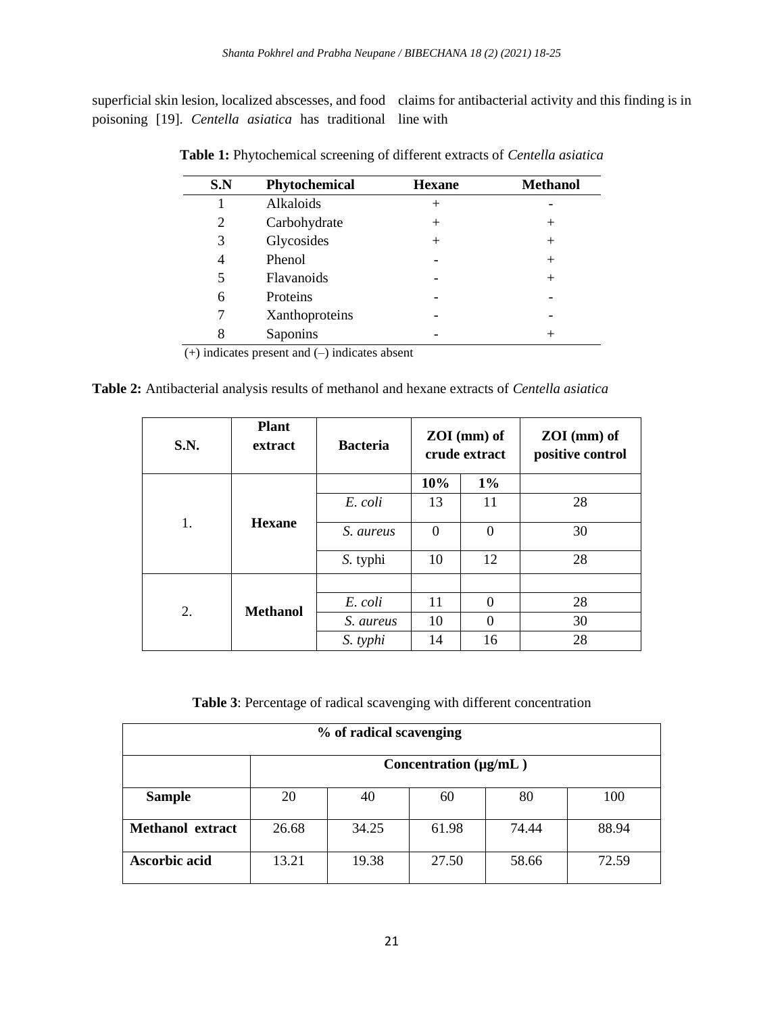superficial skin lesion, localized abscesses, and food claims for antibacterial activity and this finding is in poisoning [19]. *Centella asiatica* has traditional line with

| S.N | Phytochemical  | <b>Hexane</b> | <b>Methanol</b> |
|-----|----------------|---------------|-----------------|
|     | Alkaloids      | $^{+}$        |                 |
| 2   | Carbohydrate   | $^{+}$        | $^{+}$          |
| 3   | Glycosides     | $^{+}$        | $^{+}$          |
| 4   | Phenol         |               | $^{+}$          |
| 5   | Flavanoids     |               | $^{+}$          |
| 6   | Proteins       |               |                 |
|     | Xanthoproteins |               |                 |
| 8   | Saponins       |               | $^+$            |
|     | .              |               |                 |

**Table 1:** Phytochemical screening of different extracts of *Centella asiatica*

(+) indicates present and (–) indicates absent

**Table 2:** Antibacterial analysis results of methanol and hexane extracts of *Centella asiatica*

| S.N. | <b>Plant</b><br>extract | <b>Bacteria</b> | $ZOI$ (mm) of<br>crude extract |          | $ZOI$ (mm) of<br>positive control |
|------|-------------------------|-----------------|--------------------------------|----------|-----------------------------------|
| 1.   | <b>Hexane</b>           |                 | 10%                            | $1\%$    |                                   |
|      |                         | E. coli         | 13                             | 11       | 28                                |
|      |                         | S. aureus       | $\Omega$                       | $\Omega$ | 30                                |
|      |                         | S. typhi        | 10                             | 12       | 28                                |
|      |                         |                 |                                |          |                                   |
| 2.   | <b>Methanol</b>         | E. coli         | 11                             | $\Omega$ | 28                                |
|      |                         | S. aureus       | 10                             | $\Omega$ | 30                                |
|      |                         | S. typhi        | 14                             | 16       | 28                                |

**Table 3**: Percentage of radical scavenging with different concentration

| % of radical scavenging |                            |       |       |       |       |
|-------------------------|----------------------------|-------|-------|-------|-------|
|                         | Concentration $(\mu g/mL)$ |       |       |       |       |
| <b>Sample</b>           | 20                         | 40    | 60    | 80    | 100   |
| <b>Methanol</b> extract | 26.68                      | 34.25 | 61.98 | 74.44 | 88.94 |
| Ascorbic acid           | 13.21                      | 19.38 | 27.50 | 58.66 | 72.59 |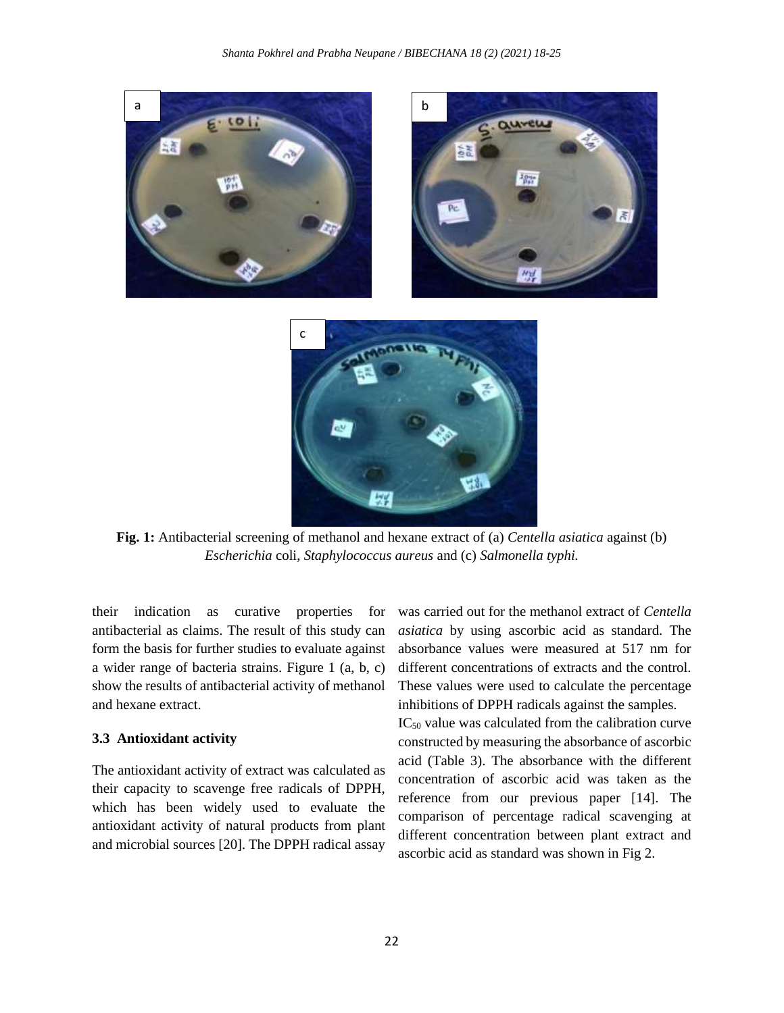

**Fig. 1:** Antibacterial screening of methanol and hexane extract of (a) *Centella asiatica* against (b) *Escherichia* coli, *Staphylococcus aureus* and (c) *Salmonella typhi.*

their indication as curative properties for antibacterial as claims. The result of this study can form the basis for further studies to evaluate against a wider range of bacteria strains. Figure 1 (a, b, c) show the results of antibacterial activity of methanol and hexane extract.

#### **3.3 Antioxidant activity**

The antioxidant activity of extract was calculated as their capacity to scavenge free radicals of DPPH, which has been widely used to evaluate the antioxidant activity of natural products from plant and microbial sources [20]. The DPPH radical assay

was carried out for the methanol extract of *Centella asiatica* by using ascorbic acid as standard. The absorbance values were measured at 517 nm for different concentrations of extracts and the control. These values were used to calculate the percentage inhibitions of DPPH radicals against the samples.

IC<sup>50</sup> value was calculated from the calibration curve constructed by measuring the absorbance of ascorbic acid (Table 3). The absorbance with the different concentration of ascorbic acid was taken as the reference from our previous paper [14]. The comparison of percentage radical scavenging at different concentration between plant extract and ascorbic acid as standard was shown in Fig 2.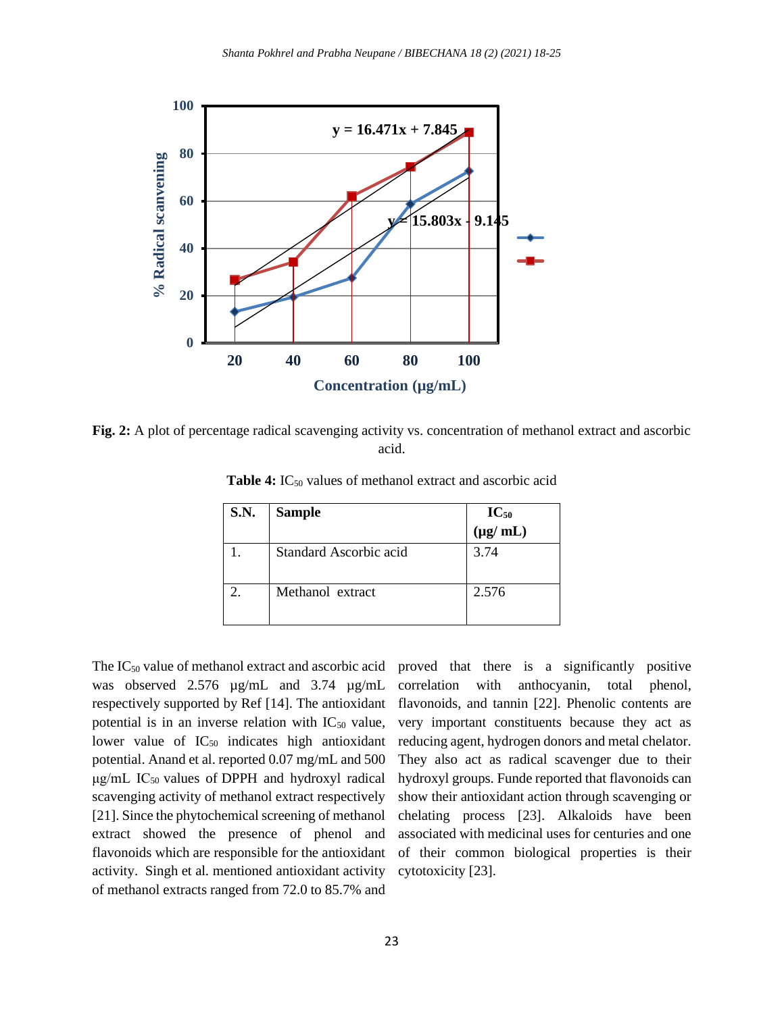

**Fig. 2:** A plot of percentage radical scavenging activity vs. concentration of methanol extract and ascorbic acid.

| S.N. | <b>Sample</b>          | $IC_{50}$<br>(µg/ mL) |
|------|------------------------|-----------------------|
|      | Standard Ascorbic acid | 3.74                  |
|      | Methanol extract       | 2.576                 |

Table 4: IC<sub>50</sub> values of methanol extract and ascorbic acid

The  $IC_{50}$  value of methanol extract and ascorbic acid was observed 2.576 µg/mL and 3.74 µg/mL respectively supported by Ref [14]. The antioxidant potential is in an inverse relation with  $IC_{50}$  value, lower value of  $IC_{50}$  indicates high antioxidant potential. Anand et al. reported 0.07 mg/mL and 500  $\mu$ g/mL IC<sub>50</sub> values of DPPH and hydroxyl radical scavenging activity of methanol extract respectively [21]. Since the phytochemical screening of methanol extract showed the presence of phenol and flavonoids which are responsible for the antioxidant activity. Singh et al*.* mentioned antioxidant activity of methanol extracts ranged from 72.0 to 85.7% and

proved that there is a significantly positive correlation with anthocyanin, total phenol, flavonoids, and tannin [22]. Phenolic contents are very important constituents because they act as reducing agent, hydrogen donors and metal chelator. They also act as radical scavenger due to their hydroxyl groups. Funde reported that flavonoids can show their antioxidant action through scavenging or chelating process [23]. Alkaloids have been associated with medicinal uses for centuries and one of their common biological properties is their cytotoxicity [23].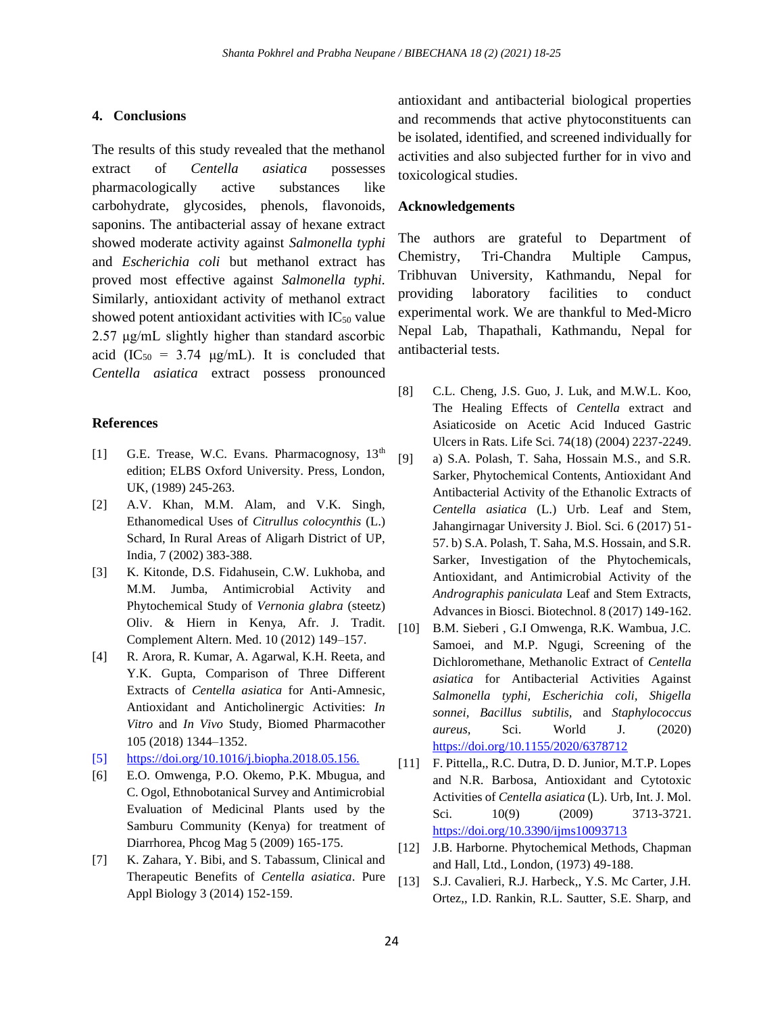#### **4. Conclusions**

The results of this study revealed that the methanol extract of *Centella asiatica* possesses pharmacologically active substances like carbohydrate, glycosides, phenols, flavonoids, saponins. The antibacterial assay of hexane extract showed moderate activity against *Salmonella typhi*  and *Escherichia coli* but methanol extract has proved most effective against *Salmonella typhi.* Similarly, antioxidant activity of methanol extract showed potent antioxidant activities with  $IC_{50}$  value 2.57 μg/mL slightly higher than standard ascorbic acid (IC<sub>50</sub> = 3.74  $\mu$ g/mL). It is concluded that *Centella asiatica* extract possess pronounced

#### **References**

- [1] G.E. Trease, W.C. Evans. Pharmacognosy,  $13<sup>th</sup>$ edition; ELBS Oxford University. Press, London, UK, (1989) 245-263.
- [2] A.V. Khan, M.M. Alam, and V.K. Singh, Ethanomedical Uses of *Citrullus colocynthis* (L.) Schard, In Rural Areas of Aligarh District of UP, India*,* 7 (2002) 383-388.
- [3] K. Kitonde, D.S. Fidahusein, C.W. Lukhoba, and M.M. Jumba, Antimicrobial Activity and Phytochemical Study of *Vernonia glabra* (steetz) Oliv. & Hiern in Kenya, Afr. J. Tradit. Complement Altern. Med. 10 (2012) 149–157.
- [4] R. Arora, R. Kumar, A. Agarwal, K.H. Reeta, and Y.K. Gupta, Comparison of Three Different Extracts of *Centella asiatica* for Anti-Amnesic, Antioxidant and Anticholinergic Activities: *In Vitro* and *In Vivo* Study, Biomed Pharmacother 105 (2018) 1344–1352.
- [5] https://doi.org/10.1016/j.biopha.2018.05.156.
- [6] E.O. Omwenga, P.O. Okemo, P.K. Mbugua, and C. Ogol, Ethnobotanical Survey and Antimicrobial Evaluation of Medicinal Plants used by the Samburu Community (Kenya) for treatment of Diarrhorea, Phcog Mag 5 (2009) 165-175.
- [7] K. Zahara, Y. Bibi, and S. Tabassum, Clinical and Therapeutic Benefits of *Centella asiatica*. Pure Appl Biology 3 (2014) 152-159.

antioxidant and antibacterial biological properties and recommends that active phytoconstituents can be isolated, identified, and screened individually for activities and also subjected further for in vivo and toxicological studies.

#### **Acknowledgements**

The authors are grateful to Department of Chemistry, Tri-Chandra Multiple Campus, Tribhuvan University, Kathmandu, Nepal for providing laboratory facilities to conduct experimental work. We are thankful to Med-Micro Nepal Lab, Thapathali, Kathmandu, Nepal for antibacterial tests.

- [8] C.L. Cheng, J.S. Guo, J. Luk, and M.W.L. Koo, The Healing Effects of *Centella* extract and Asiaticoside on Acetic Acid Induced Gastric Ulcers in Rats. Life Sci. 74(18) (2004) 2237-2249.
- [9] a) S.A. Polash, T. Saha, Hossain M.S., and S.R. Sarker, Phytochemical Contents, Antioxidant And Antibacterial Activity of the Ethanolic Extracts of *Centella asiatica* (L.) Urb. Leaf and Stem, Jahangirnagar University J. Biol. Sci. 6 (2017) 51- 57. b) S.A. Polash, T. Saha, M.S. Hossain, and S.R. Sarker, Investigation of the Phytochemicals, Antioxidant, and Antimicrobial Activity of the *Andrographis paniculata* Leaf and Stem Extracts, Advances in Biosci. Biotechnol. 8 (2017) 149-162.
- [10] B.M. Sieberi , G.I Omwenga, R.K. Wambua, J.C. Samoei, and M.P. Ngugi, Screening of the Dichloromethane, Methanolic Extract of *Centella asiatica* for Antibacterial Activities Against *Salmonella typhi, Escherichia coli, Shigella sonnei, Bacillus subtilis,* and *Staphylococcus aureus,* Sci. World J. (2020) <https://doi.org/10.1155/2020/6378712>
- [11] F. Pittella,, R.C. Dutra, D. D. Junior, M.T.P. Lopes and N.R. Barbosa, Antioxidant and Cytotoxic Activities of *Centella asiatica* (L). Urb, Int. J. Mol. Sci. 10(9) (2009) 3713-3721. https://doi.org/10.3390/ijms10093713
- [12] J.B. Harborne. Phytochemical Methods, Chapman and Hall, Ltd., London, (1973) 49-188.
- [13] S.J. Cavalieri, R.J. Harbeck,, Y.S. Mc Carter, J.H. Ortez,, I.D. Rankin, R.L. Sautter, S.E. Sharp, and